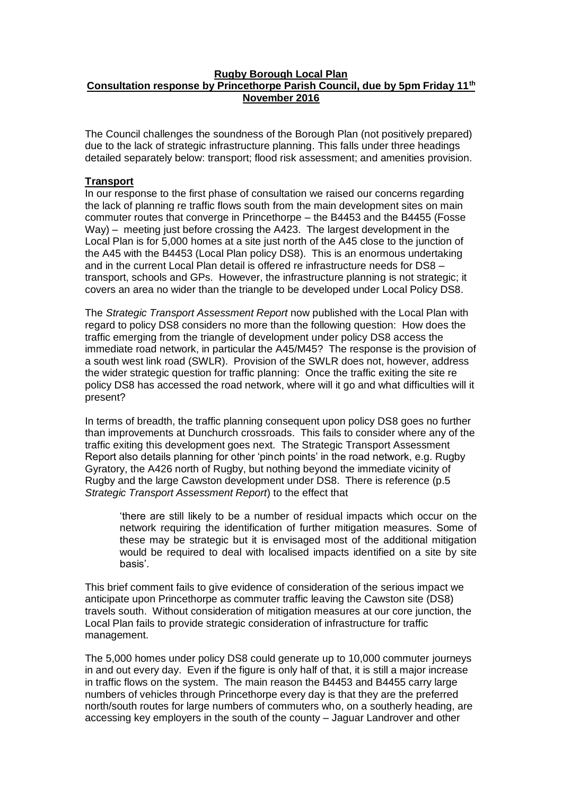### **Rugby Borough Local Plan Consultation response by Princethorpe Parish Council, due by 5pm Friday 11th November 2016**

The Council challenges the soundness of the Borough Plan (not positively prepared) due to the lack of strategic infrastructure planning. This falls under three headings detailed separately below: transport; flood risk assessment; and amenities provision.

## **Transport**

In our response to the first phase of consultation we raised our concerns regarding the lack of planning re traffic flows south from the main development sites on main commuter routes that converge in Princethorpe – the B4453 and the B4455 (Fosse Way) – meeting just before crossing the A423. The largest development in the Local Plan is for 5,000 homes at a site just north of the A45 close to the junction of the A45 with the B4453 (Local Plan policy DS8). This is an enormous undertaking and in the current Local Plan detail is offered re infrastructure needs for DS8 – transport, schools and GPs. However, the infrastructure planning is not strategic; it covers an area no wider than the triangle to be developed under Local Policy DS8.

The *Strategic Transport Assessment Report* now published with the Local Plan with regard to policy DS8 considers no more than the following question: How does the traffic emerging from the triangle of development under policy DS8 access the immediate road network, in particular the A45/M45? The response is the provision of a south west link road (SWLR). Provision of the SWLR does not, however, address the wider strategic question for traffic planning: Once the traffic exiting the site re policy DS8 has accessed the road network, where will it go and what difficulties will it present?

In terms of breadth, the traffic planning consequent upon policy DS8 goes no further than improvements at Dunchurch crossroads. This fails to consider where any of the traffic exiting this development goes next. The Strategic Transport Assessment Report also details planning for other 'pinch points' in the road network, e.g. Rugby Gyratory, the A426 north of Rugby, but nothing beyond the immediate vicinity of Rugby and the large Cawston development under DS8. There is reference (p.5 *Strategic Transport Assessment Report*) to the effect that

'there are still likely to be a number of residual impacts which occur on the network requiring the identification of further mitigation measures. Some of these may be strategic but it is envisaged most of the additional mitigation would be required to deal with localised impacts identified on a site by site basis'.

This brief comment fails to give evidence of consideration of the serious impact we anticipate upon Princethorpe as commuter traffic leaving the Cawston site (DS8) travels south. Without consideration of mitigation measures at our core junction, the Local Plan fails to provide strategic consideration of infrastructure for traffic management.

The 5,000 homes under policy DS8 could generate up to 10,000 commuter journeys in and out every day. Even if the figure is only half of that, it is still a major increase in traffic flows on the system. The main reason the B4453 and B4455 carry large numbers of vehicles through Princethorpe every day is that they are the preferred north/south routes for large numbers of commuters who, on a southerly heading, are accessing key employers in the south of the county – Jaguar Landrover and other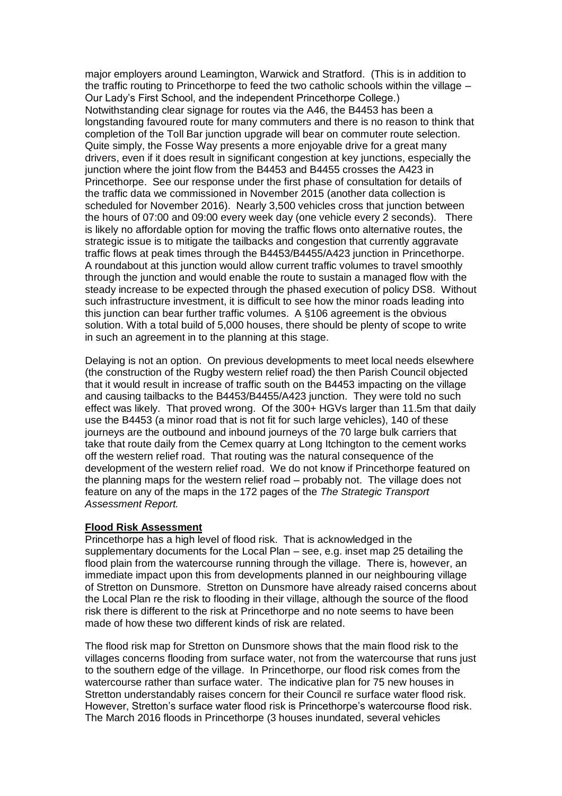major employers around Leamington, Warwick and Stratford. (This is in addition to the traffic routing to Princethorpe to feed the two catholic schools within the village – Our Lady's First School, and the independent Princethorpe College.) Notwithstanding clear signage for routes via the A46, the B4453 has been a longstanding favoured route for many commuters and there is no reason to think that completion of the Toll Bar junction upgrade will bear on commuter route selection. Quite simply, the Fosse Way presents a more enjoyable drive for a great many drivers, even if it does result in significant congestion at key junctions, especially the junction where the joint flow from the B4453 and B4455 crosses the A423 in Princethorpe. See our response under the first phase of consultation for details of the traffic data we commissioned in November 2015 (another data collection is scheduled for November 2016). Nearly 3,500 vehicles cross that junction between the hours of 07:00 and 09:00 every week day (one vehicle every 2 seconds). There is likely no affordable option for moving the traffic flows onto alternative routes, the strategic issue is to mitigate the tailbacks and congestion that currently aggravate traffic flows at peak times through the B4453/B4455/A423 junction in Princethorpe. A roundabout at this junction would allow current traffic volumes to travel smoothly through the junction and would enable the route to sustain a managed flow with the steady increase to be expected through the phased execution of policy DS8. Without such infrastructure investment, it is difficult to see how the minor roads leading into this junction can bear further traffic volumes. A §106 agreement is the obvious solution. With a total build of 5,000 houses, there should be plenty of scope to write in such an agreement in to the planning at this stage.

Delaying is not an option. On previous developments to meet local needs elsewhere (the construction of the Rugby western relief road) the then Parish Council objected that it would result in increase of traffic south on the B4453 impacting on the village and causing tailbacks to the B4453/B4455/A423 junction. They were told no such effect was likely. That proved wrong. Of the 300+ HGVs larger than 11.5m that daily use the B4453 (a minor road that is not fit for such large vehicles), 140 of these journeys are the outbound and inbound journeys of the 70 large bulk carriers that take that route daily from the Cemex quarry at Long Itchington to the cement works off the western relief road. That routing was the natural consequence of the development of the western relief road. We do not know if Princethorpe featured on the planning maps for the western relief road – probably not. The village does not feature on any of the maps in the 172 pages of the *The Strategic Transport Assessment Report.*

#### **Flood Risk Assessment**

Princethorpe has a high level of flood risk. That is acknowledged in the supplementary documents for the Local Plan – see, e.g. inset map 25 detailing the flood plain from the watercourse running through the village. There is, however, an immediate impact upon this from developments planned in our neighbouring village of Stretton on Dunsmore. Stretton on Dunsmore have already raised concerns about the Local Plan re the risk to flooding in their village, although the source of the flood risk there is different to the risk at Princethorpe and no note seems to have been made of how these two different kinds of risk are related.

The flood risk map for Stretton on Dunsmore shows that the main flood risk to the villages concerns flooding from surface water, not from the watercourse that runs just to the southern edge of the village. In Princethorpe, our flood risk comes from the watercourse rather than surface water. The indicative plan for 75 new houses in Stretton understandably raises concern for their Council re surface water flood risk. However, Stretton's surface water flood risk is Princethorpe's watercourse flood risk. The March 2016 floods in Princethorpe (3 houses inundated, several vehicles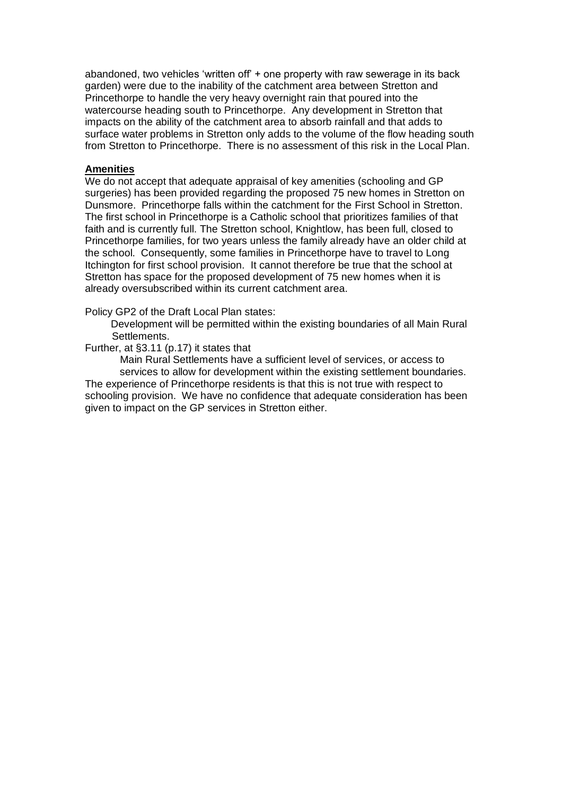abandoned, two vehicles 'written off' + one property with raw sewerage in its back garden) were due to the inability of the catchment area between Stretton and Princethorpe to handle the very heavy overnight rain that poured into the watercourse heading south to Princethorpe. Any development in Stretton that impacts on the ability of the catchment area to absorb rainfall and that adds to surface water problems in Stretton only adds to the volume of the flow heading south from Stretton to Princethorpe. There is no assessment of this risk in the Local Plan.

#### **Amenities**

We do not accept that adequate appraisal of key amenities (schooling and GP surgeries) has been provided regarding the proposed 75 new homes in Stretton on Dunsmore. Princethorpe falls within the catchment for the First School in Stretton. The first school in Princethorpe is a Catholic school that prioritizes families of that faith and is currently full. The Stretton school, Knightlow, has been full, closed to Princethorpe families, for two years unless the family already have an older child at the school. Consequently, some families in Princethorpe have to travel to Long Itchington for first school provision. It cannot therefore be true that the school at Stretton has space for the proposed development of 75 new homes when it is already oversubscribed within its current catchment area.

Policy GP2 of the Draft Local Plan states:

 Development will be permitted within the existing boundaries of all Main Rural Settlements.

#### Further, at §3.11 (p.17) it states that

Main Rural Settlements have a sufficient level of services, or access to services to allow for development within the existing settlement boundaries. The experience of Princethorpe residents is that this is not true with respect to schooling provision. We have no confidence that adequate consideration has been given to impact on the GP services in Stretton either.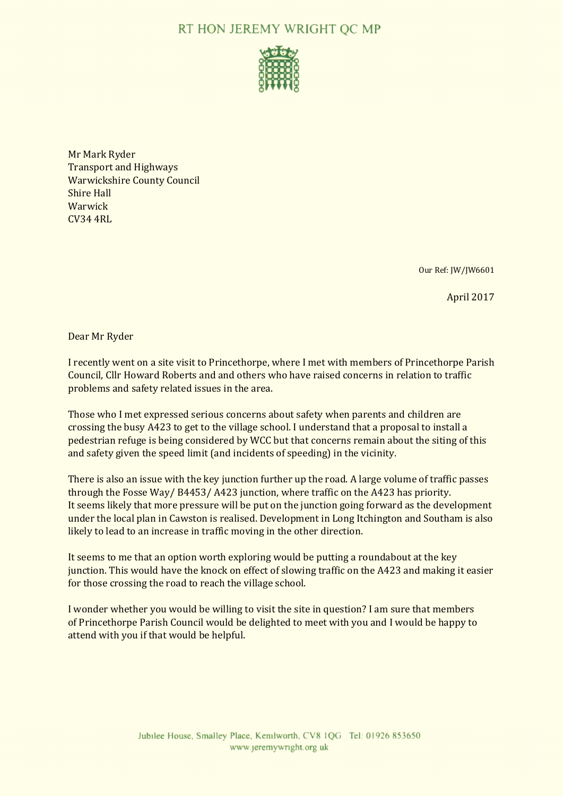# RT HON JEREMY WRIGHT OC MP



Mr Mark Ryder Transport and Highways Warwickshire County Council Shire Hall Warwick CV34 4RL

Our Ref: JW/JW6601

April 2017

Dear Mr Ryder

I recently went on a site visit to Princethorpe, where I met with members of Princethorpe Parish Council, Cllr Howard Roberts and and others who have raised concerns in relation to traffic problems and safety related issues in the area.

Those who I met expressed serious concerns about safety when parents and children are crossing the busy A423 to get to the village school. I understand that a proposal to install a pedestrian refuge is being considered by WCC but that concerns remain about the siting of this and safety given the speed limit (and incidents of speeding) in the vicinity.

There is also an issue with the key junction further up the road. A large volume of traffic passes through the Fosse Way/ B4453/ A423 junction, where traffic on the A423 has priority. It seems likely that more pressure will be put on the junction going forward as the development under the local plan in Cawston is realised. Development in Long Itchington and Southam is also likely to lead to an increase in traffic moving in the other direction.

It seems to me that an option worth exploring would be putting a roundabout at the key junction. This would have the knock on effect of slowing traffic on the A423 and making it easier for those crossing the road to reach the village school.

I wonder whether you would be willing to visit the site in question? I am sure that members of Princethorpe Parish Council would be delighted to meet with you and I would be happy to attend with you if that would be helpful.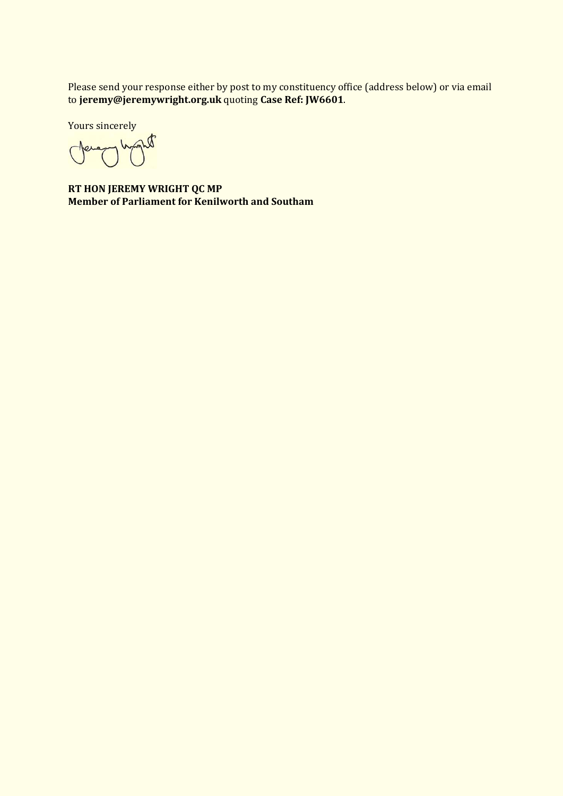Please send your response either by post to my constituency office (address below) or via email to **jeremy@jeremywright.org.uk** quoting **Case Ref: JW6601**.

Yours sincerely

**RT HON JEREMY WRIGHT QC MP Member of Parliament for Kenilworth and Southam**